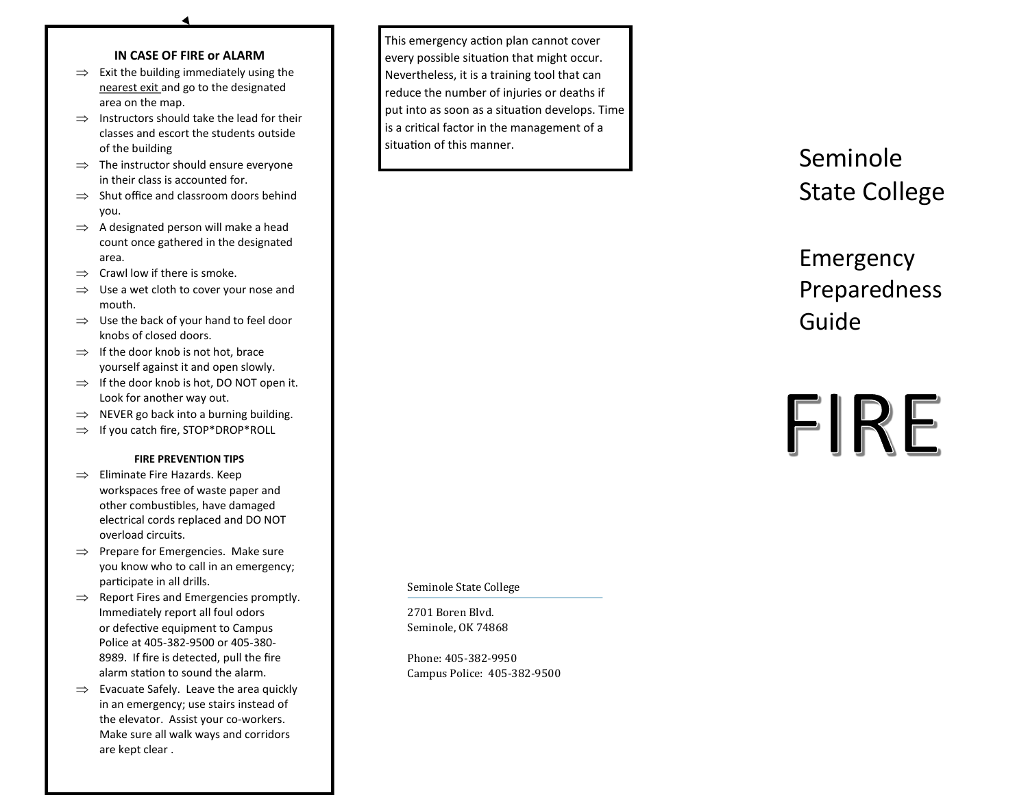## **IN CASE OF FIRE or ALARM**

- $\implies$  Exit the building immediately using the nearest exit and go to the designated area on the map.
- $\Rightarrow$  Instructors should take the lead for their classes and escort the students outside of the building
- $\Rightarrow$  The instructor should ensure everyone in their class is accounted for.
- $\Rightarrow$  Shut office and classroom doors behind you.
- $\Rightarrow$  A designated person will make a head count once gathered in the designated area.
- $\Rightarrow$  Crawl low if there is smoke.
- $\Rightarrow$  Use a wet cloth to cover your nose and mouth.
- $\Rightarrow$  Use the back of your hand to feel door knobs of closed doors.
- $\Rightarrow$  If the door knob is not hot, brace yourself against it and open slowly.
- $\Rightarrow$  If the door knob is hot, DO NOT open it. Look for another way out.
- $\implies$  NEVER go back into a burning building.
- $\Rightarrow$  If you catch fire, STOP\*DROP\*ROLL

## **FIRE PREVENTION TIPS**

- $\implies$  Eliminate Fire Hazards. Keep workspaces free of waste paper and other combustibles, have damaged electrical cords replaced and DO NOT overload circuits.
- $\implies$  Prepare for Emergencies. Make sure you know who to call in an emergency; participate in all drills.
- $\implies$  Report Fires and Emergencies promptly. Immediately report all foul odors or defective equipment to Campus Police at 405 -382 -9500 or 405 -380 - 8989. If fire is detected, pull the fire alarm station to sound the alarm.
- $\Rightarrow$  Evacuate Safely. Leave the area quickly in an emergency; use stairs instead of the elevator. Assist your co -workers. Make sure all walk ways and corridors are kept clear .

This emergency action plan cannot cover every possible situation that might occur. Nevertheless, it is a training tool that can reduce the number of injuries or deaths if put into as soon as a situation develops. Time is a critical factor in the management of a situation of this manner.

## Seminole State College

Emergency Preparedness Guide

## FIRE

Seminole State College

2701 Boren Blvd. Seminole, OK 74868

Phone: 405 -382 -9950 Campus Police: 405 -382 -9500